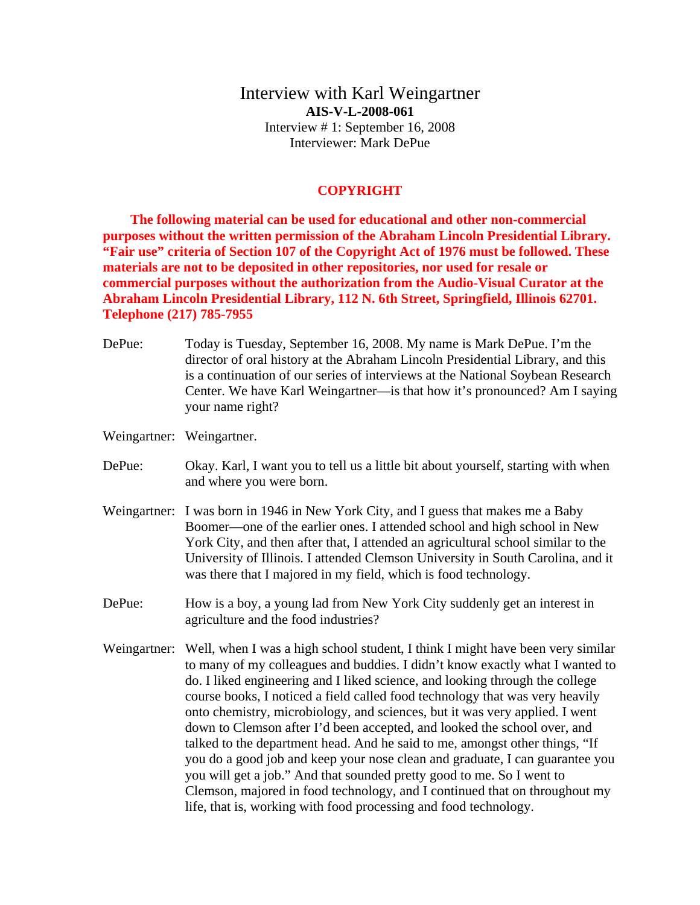## Interview with Karl Weingartner **AIS-V-L-2008-061**  Interview # 1: September 16, 2008 Interviewer: Mark DePue

## **COPYRIGHT**

**The following material can be used for educational and other non-commercial purposes without the written permission of the Abraham Lincoln Presidential Library. "Fair use" criteria of Section 107 of the Copyright Act of 1976 must be followed. These materials are not to be deposited in other repositories, nor used for resale or commercial purposes without the authorization from the Audio-Visual Curator at the Abraham Lincoln Presidential Library, 112 N. 6th Street, Springfield, Illinois 62701. Telephone (217) 785-7955** 

DePue: Today is Tuesday, September 16, 2008. My name is Mark DePue. I'm the director of oral history at the Abraham Lincoln Presidential Library, and this is a continuation of our series of interviews at the National Soybean Research Center. We have Karl Weingartner—is that how it's pronounced? Am I saying your name right?

Weingartner: Weingartner.

- DePue: Okay. Karl, I want you to tell us a little bit about yourself, starting with when and where you were born.
- Weingartner: I was born in 1946 in New York City, and I guess that makes me a Baby Boomer—one of the earlier ones. I attended school and high school in New York City, and then after that, I attended an agricultural school similar to the University of Illinois. I attended Clemson University in South Carolina, and it was there that I majored in my field, which is food technology.
- DePue: How is a boy, a young lad from New York City suddenly get an interest in agriculture and the food industries?
- Weingartner: Well, when I was a high school student, I think I might have been very similar to many of my colleagues and buddies. I didn't know exactly what I wanted to do. I liked engineering and I liked science, and looking through the college course books, I noticed a field called food technology that was very heavily onto chemistry, microbiology, and sciences, but it was very applied. I went down to Clemson after I'd been accepted, and looked the school over, and talked to the department head. And he said to me, amongst other things, "If you do a good job and keep your nose clean and graduate, I can guarantee you you will get a job." And that sounded pretty good to me. So I went to Clemson, majored in food technology, and I continued that on throughout my life, that is, working with food processing and food technology.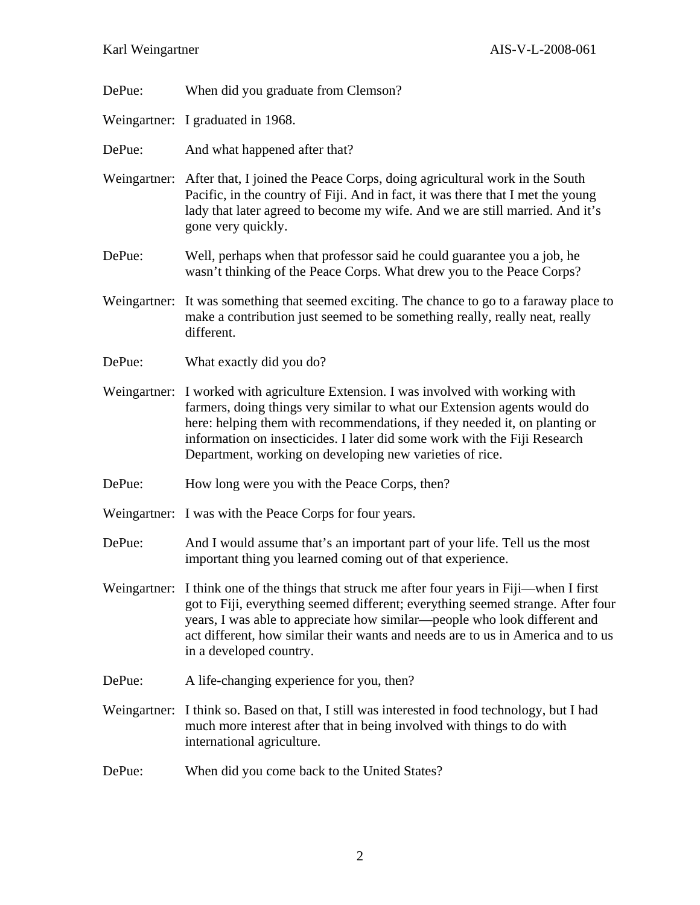DePue: When did you graduate from Clemson? Weingartner: I graduated in 1968. DePue: And what happened after that? Weingartner: After that, I joined the Peace Corps, doing agricultural work in the South Pacific, in the country of Fiji. And in fact, it was there that I met the young lady that later agreed to become my wife. And we are still married. And it's gone very quickly. DePue: Well, perhaps when that professor said he could guarantee you a job, he wasn't thinking of the Peace Corps. What drew you to the Peace Corps? Weingartner: It was something that seemed exciting. The chance to go to a faraway place to make a contribution just seemed to be something really, really neat, really different. DePue: What exactly did you do? Weingartner: I worked with agriculture Extension. I was involved with working with farmers, doing things very similar to what our Extension agents would do here: helping them with recommendations, if they needed it, on planting or information on insecticides. I later did some work with the Fiji Research Department, working on developing new varieties of rice. DePue: How long were you with the Peace Corps, then? Weingartner: I was with the Peace Corps for four years. DePue: And I would assume that's an important part of your life. Tell us the most important thing you learned coming out of that experience. Weingartner: I think one of the things that struck me after four years in Fiji—when I first got to Fiji, everything seemed different; everything seemed strange. After four years, I was able to appreciate how similar—people who look different and act different, how similar their wants and needs are to us in America and to us in a developed country. DePue: A life-changing experience for you, then? Weingartner: I think so. Based on that, I still was interested in food technology, but I had much more interest after that in being involved with things to do with international agriculture. DePue: When did you come back to the United States?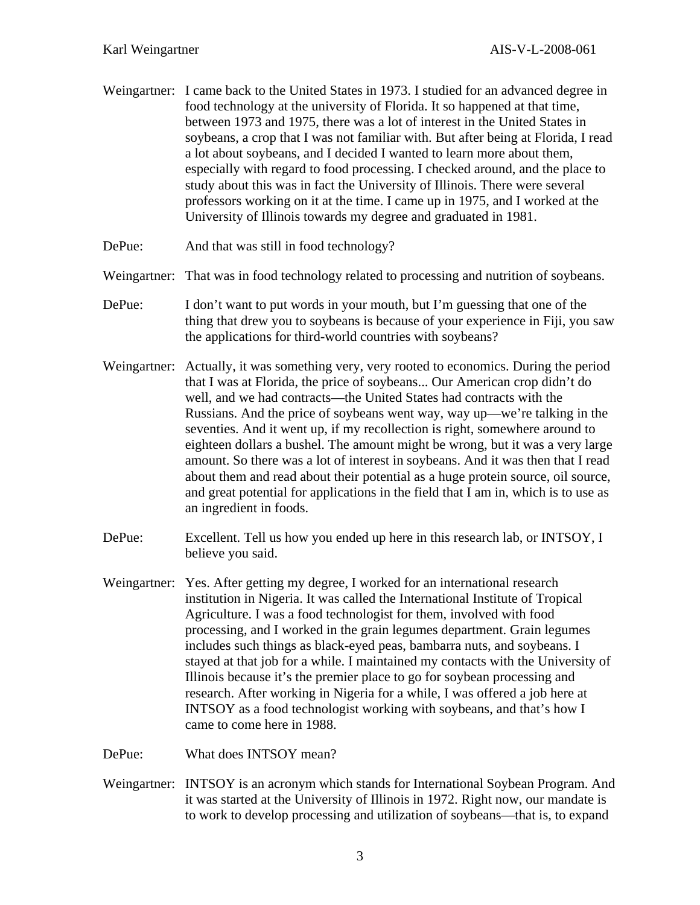- Weingartner: I came back to the United States in 1973. I studied for an advanced degree in food technology at the university of Florida. It so happened at that time, between 1973 and 1975, there was a lot of interest in the United States in soybeans, a crop that I was not familiar with. But after being at Florida, I read a lot about soybeans, and I decided I wanted to learn more about them, especially with regard to food processing. I checked around, and the place to study about this was in fact the University of Illinois. There were several professors working on it at the time. I came up in 1975, and I worked at the University of Illinois towards my degree and graduated in 1981.
- DePue: And that was still in food technology?
- Weingartner: That was in food technology related to processing and nutrition of soybeans.
- DePue: I don't want to put words in your mouth, but I'm guessing that one of the thing that drew you to soybeans is because of your experience in Fiji, you saw the applications for third-world countries with soybeans?
- Weingartner: Actually, it was something very, very rooted to economics. During the period that I was at Florida, the price of soybeans... Our American crop didn't do well, and we had contracts—the United States had contracts with the Russians. And the price of soybeans went way, way up—we're talking in the seventies. And it went up, if my recollection is right, somewhere around to eighteen dollars a bushel. The amount might be wrong, but it was a very large amount. So there was a lot of interest in soybeans. And it was then that I read about them and read about their potential as a huge protein source, oil source, and great potential for applications in the field that I am in, which is to use as an ingredient in foods.
- DePue: Excellent. Tell us how you ended up here in this research lab, or INTSOY, I believe you said.
- Weingartner: Yes. After getting my degree, I worked for an international research institution in Nigeria. It was called the International Institute of Tropical Agriculture. I was a food technologist for them, involved with food processing, and I worked in the grain legumes department. Grain legumes includes such things as black-eyed peas, bambarra nuts, and soybeans. I stayed at that job for a while. I maintained my contacts with the University of Illinois because it's the premier place to go for soybean processing and research. After working in Nigeria for a while, I was offered a job here at INTSOY as a food technologist working with soybeans, and that's how I came to come here in 1988.
- DePue: What does INTSOY mean?
- Weingartner: INTSOY is an acronym which stands for International Soybean Program. And it was started at the University of Illinois in 1972. Right now, our mandate is to work to develop processing and utilization of soybeans—that is, to expand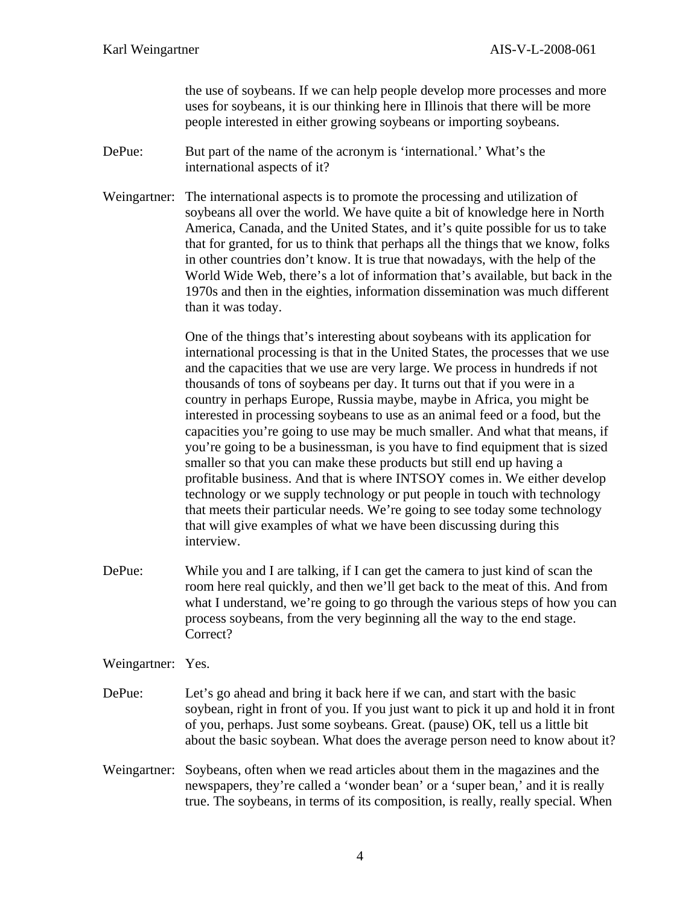the use of soybeans. If we can help people develop more processes and more uses for soybeans, it is our thinking here in Illinois that there will be more people interested in either growing soybeans or importing soybeans.

DePue: But part of the name of the acronym is 'international.' What's the international aspects of it?

Weingartner: The international aspects is to promote the processing and utilization of soybeans all over the world. We have quite a bit of knowledge here in North America, Canada, and the United States, and it's quite possible for us to take that for granted, for us to think that perhaps all the things that we know, folks in other countries don't know. It is true that nowadays, with the help of the World Wide Web, there's a lot of information that's available, but back in the 1970s and then in the eighties, information dissemination was much different than it was today.

> One of the things that's interesting about soybeans with its application for international processing is that in the United States, the processes that we use and the capacities that we use are very large. We process in hundreds if not thousands of tons of soybeans per day. It turns out that if you were in a country in perhaps Europe, Russia maybe, maybe in Africa, you might be interested in processing soybeans to use as an animal feed or a food, but the capacities you're going to use may be much smaller. And what that means, if you're going to be a businessman, is you have to find equipment that is sized smaller so that you can make these products but still end up having a profitable business. And that is where INTSOY comes in. We either develop technology or we supply technology or put people in touch with technology that meets their particular needs. We're going to see today some technology that will give examples of what we have been discussing during this interview.

DePue: While you and I are talking, if I can get the camera to just kind of scan the room here real quickly, and then we'll get back to the meat of this. And from what I understand, we're going to go through the various steps of how you can process soybeans, from the very beginning all the way to the end stage. Correct?

Weingartner: Yes.

- DePue: Let's go ahead and bring it back here if we can, and start with the basic soybean, right in front of you. If you just want to pick it up and hold it in front of you, perhaps. Just some soybeans. Great. (pause) OK, tell us a little bit about the basic soybean. What does the average person need to know about it?
- Weingartner: Soybeans, often when we read articles about them in the magazines and the newspapers, they're called a 'wonder bean' or a 'super bean,' and it is really true. The soybeans, in terms of its composition, is really, really special. When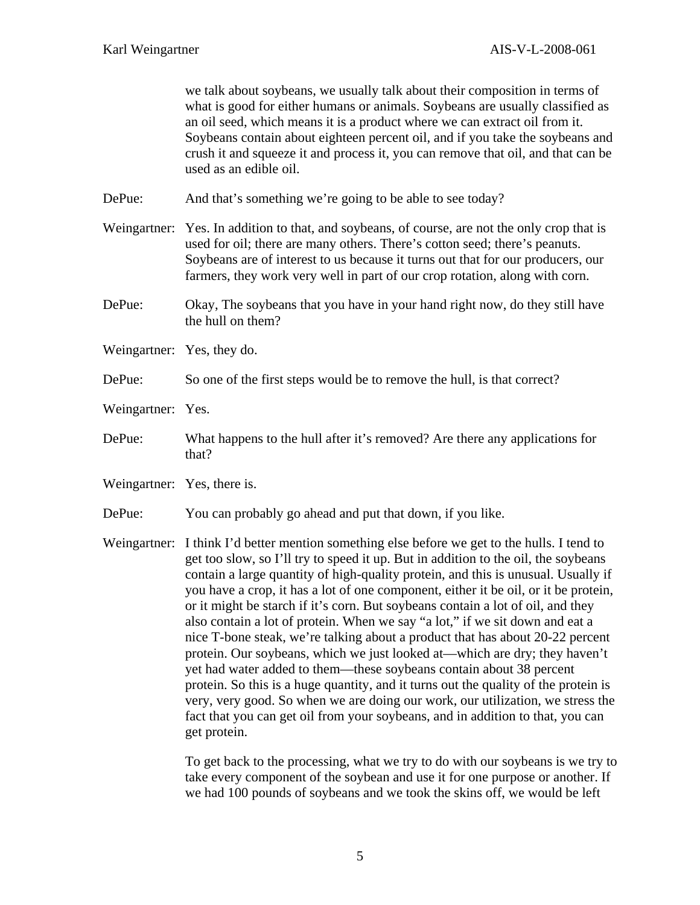we talk about soybeans, we usually talk about their composition in terms of what is good for either humans or animals. Soybeans are usually classified as an oil seed, which means it is a product where we can extract oil from it. Soybeans contain about eighteen percent oil, and if you take the soybeans and crush it and squeeze it and process it, you can remove that oil, and that can be used as an edible oil. DePue: And that's something we're going to be able to see today? Weingartner: Yes. In addition to that, and soybeans, of course, are not the only crop that is used for oil; there are many others. There's cotton seed; there's peanuts. Soybeans are of interest to us because it turns out that for our producers, our farmers, they work very well in part of our crop rotation, along with corn. DePue: Okay, The soybeans that you have in your hand right now, do they still have the hull on them? Weingartner: Yes, they do. DePue: So one of the first steps would be to remove the hull, is that correct? Weingartner: Yes. DePue: What happens to the hull after it's removed? Are there any applications for that? Weingartner: Yes, there is. DePue: You can probably go ahead and put that down, if you like. Weingartner: I think I'd better mention something else before we get to the hulls. I tend to get too slow, so I'll try to speed it up. But in addition to the oil, the soybeans contain a large quantity of high-quality protein, and this is unusual. Usually if you have a crop, it has a lot of one component, either it be oil, or it be protein, or it might be starch if it's corn. But soybeans contain a lot of oil, and they

> get protein. To get back to the processing, what we try to do with our soybeans is we try to take every component of the soybean and use it for one purpose or another. If we had 100 pounds of soybeans and we took the skins off, we would be left

protein. So this is a huge quantity, and it turns out the quality of the protein is very, very good. So when we are doing our work, our utilization, we stress the fact that you can get oil from your soybeans, and in addition to that, you can

also contain a lot of protein. When we say "a lot," if we sit down and eat a nice T-bone steak, we're talking about a product that has about 20-22 percent protein. Our soybeans, which we just looked at—which are dry; they haven't

yet had water added to them—these soybeans contain about 38 percent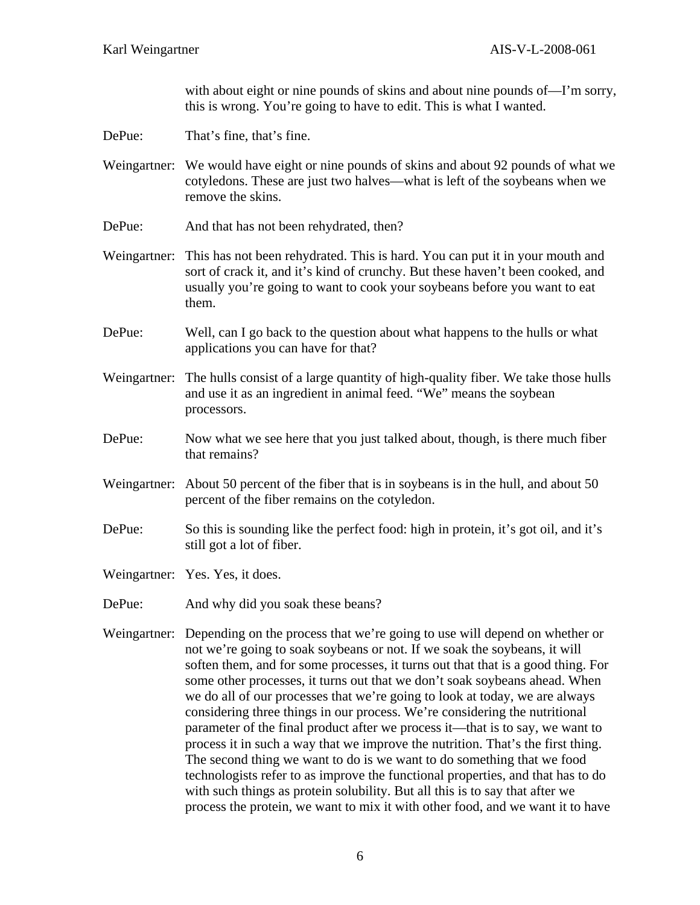with about eight or nine pounds of skins and about nine pounds of—I'm sorry, this is wrong. You're going to have to edit. This is what I wanted.

- DePue: That's fine, that's fine.
- Weingartner: We would have eight or nine pounds of skins and about 92 pounds of what we cotyledons. These are just two halves—what is left of the soybeans when we remove the skins.
- DePue: And that has not been rehydrated, then?
- Weingartner: This has not been rehydrated. This is hard. You can put it in your mouth and sort of crack it, and it's kind of crunchy. But these haven't been cooked, and usually you're going to want to cook your soybeans before you want to eat them.
- DePue: Well, can I go back to the question about what happens to the hulls or what applications you can have for that?
- Weingartner: The hulls consist of a large quantity of high-quality fiber. We take those hulls and use it as an ingredient in animal feed. "We" means the soybean processors.
- DePue: Now what we see here that you just talked about, though, is there much fiber that remains?
- Weingartner: About 50 percent of the fiber that is in soybeans is in the hull, and about 50 percent of the fiber remains on the cotyledon.
- DePue: So this is sounding like the perfect food: high in protein, it's got oil, and it's still got a lot of fiber.
- Weingartner: Yes. Yes, it does.
- DePue: And why did you soak these beans?
- Weingartner: Depending on the process that we're going to use will depend on whether or not we're going to soak soybeans or not. If we soak the soybeans, it will soften them, and for some processes, it turns out that that is a good thing. For some other processes, it turns out that we don't soak soybeans ahead. When we do all of our processes that we're going to look at today, we are always considering three things in our process. We're considering the nutritional parameter of the final product after we process it—that is to say, we want to process it in such a way that we improve the nutrition. That's the first thing. The second thing we want to do is we want to do something that we food technologists refer to as improve the functional properties, and that has to do with such things as protein solubility. But all this is to say that after we process the protein, we want to mix it with other food, and we want it to have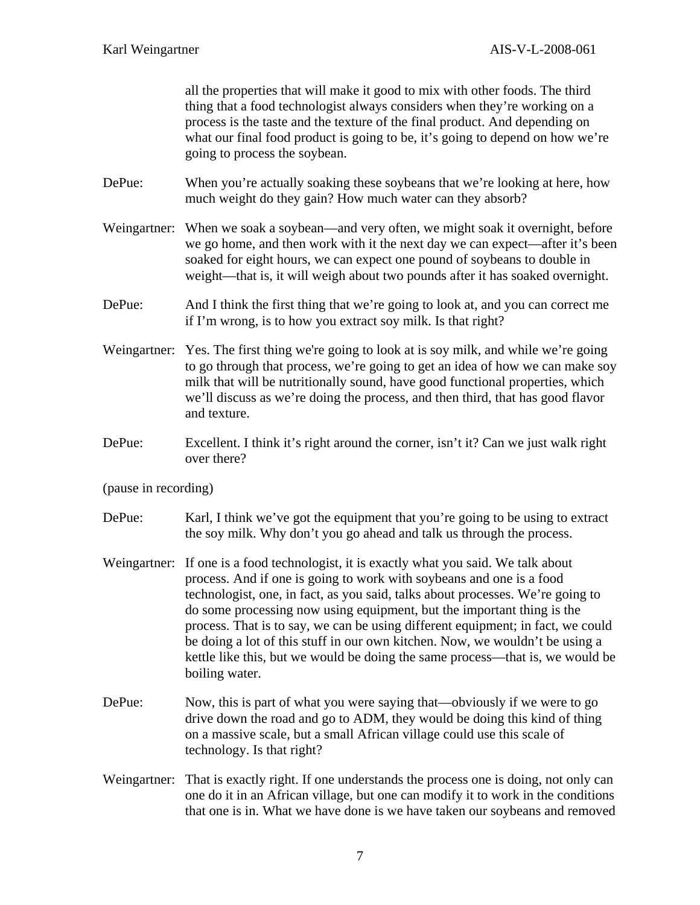all the properties that will make it good to mix with other foods. The third thing that a food technologist always considers when they're working on a process is the taste and the texture of the final product. And depending on what our final food product is going to be, it's going to depend on how we're going to process the soybean.

- DePue: When you're actually soaking these soybeans that we're looking at here, how much weight do they gain? How much water can they absorb?
- Weingartner: When we soak a soybean—and very often, we might soak it overnight, before we go home, and then work with it the next day we can expect—after it's been soaked for eight hours, we can expect one pound of soybeans to double in weight—that is, it will weigh about two pounds after it has soaked overnight.
- DePue: And I think the first thing that we're going to look at, and you can correct me if I'm wrong, is to how you extract soy milk. Is that right?
- Weingartner: Yes. The first thing we're going to look at is soy milk, and while we're going to go through that process, we're going to get an idea of how we can make soy milk that will be nutritionally sound, have good functional properties, which we'll discuss as we're doing the process, and then third, that has good flavor and texture.
- DePue: Excellent. I think it's right around the corner, isn't it? Can we just walk right over there?

(pause in recording)

- DePue: Karl, I think we've got the equipment that you're going to be using to extract the soy milk. Why don't you go ahead and talk us through the process.
- Weingartner: If one is a food technologist, it is exactly what you said. We talk about process. And if one is going to work with soybeans and one is a food technologist, one, in fact, as you said, talks about processes. We're going to do some processing now using equipment, but the important thing is the process. That is to say, we can be using different equipment; in fact, we could be doing a lot of this stuff in our own kitchen. Now, we wouldn't be using a kettle like this, but we would be doing the same process—that is, we would be boiling water.
- DePue: Now, this is part of what you were saying that—obviously if we were to go drive down the road and go to ADM, they would be doing this kind of thing on a massive scale, but a small African village could use this scale of technology. Is that right?
- Weingartner: That is exactly right. If one understands the process one is doing, not only can one do it in an African village, but one can modify it to work in the conditions that one is in. What we have done is we have taken our soybeans and removed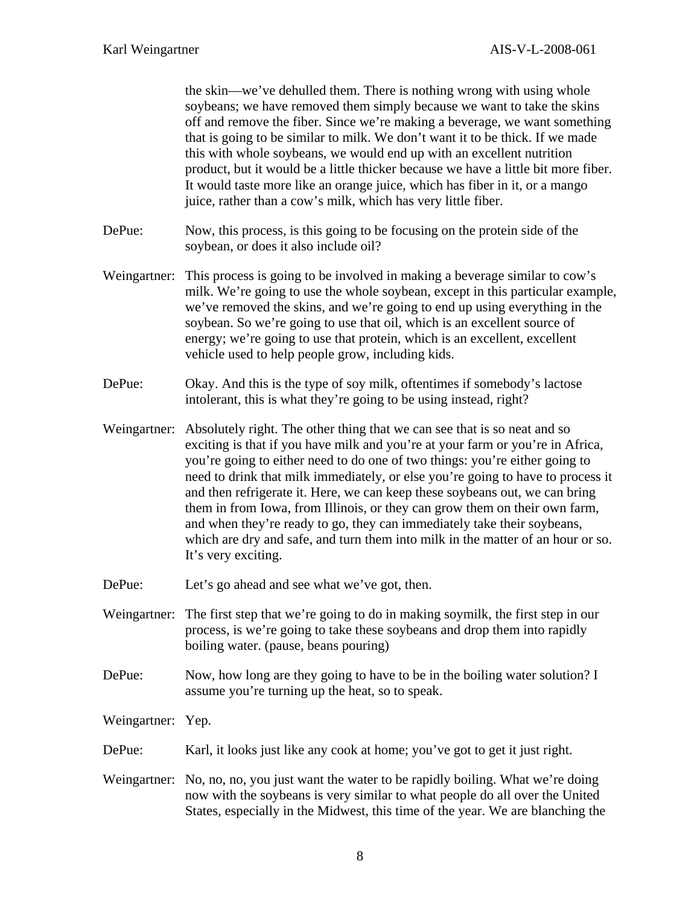the skin—we've dehulled them. There is nothing wrong with using whole soybeans; we have removed them simply because we want to take the skins off and remove the fiber. Since we're making a beverage, we want something that is going to be similar to milk. We don't want it to be thick. If we made this with whole soybeans, we would end up with an excellent nutrition product, but it would be a little thicker because we have a little bit more fiber. It would taste more like an orange juice, which has fiber in it, or a mango juice, rather than a cow's milk, which has very little fiber.

- DePue: Now, this process, is this going to be focusing on the protein side of the soybean, or does it also include oil?
- Weingartner: This process is going to be involved in making a beverage similar to cow's milk. We're going to use the whole soybean, except in this particular example, we've removed the skins, and we're going to end up using everything in the soybean. So we're going to use that oil, which is an excellent source of energy; we're going to use that protein, which is an excellent, excellent vehicle used to help people grow, including kids.
- DePue: Okay. And this is the type of soy milk, oftentimes if somebody's lactose intolerant, this is what they're going to be using instead, right?
- Weingartner: Absolutely right. The other thing that we can see that is so neat and so exciting is that if you have milk and you're at your farm or you're in Africa, you're going to either need to do one of two things: you're either going to need to drink that milk immediately, or else you're going to have to process it and then refrigerate it. Here, we can keep these soybeans out, we can bring them in from Iowa, from Illinois, or they can grow them on their own farm, and when they're ready to go, they can immediately take their soybeans, which are dry and safe, and turn them into milk in the matter of an hour or so. It's very exciting.
- DePue: Let's go ahead and see what we've got, then.
- Weingartner: The first step that we're going to do in making soymilk, the first step in our process, is we're going to take these soybeans and drop them into rapidly boiling water. (pause, beans pouring)
- DePue: Now, how long are they going to have to be in the boiling water solution? I assume you're turning up the heat, so to speak.
- Weingartner: Yep.
- DePue: Karl, it looks just like any cook at home; you've got to get it just right.
- Weingartner: No, no, no, you just want the water to be rapidly boiling. What we're doing now with the soybeans is very similar to what people do all over the United States, especially in the Midwest, this time of the year. We are blanching the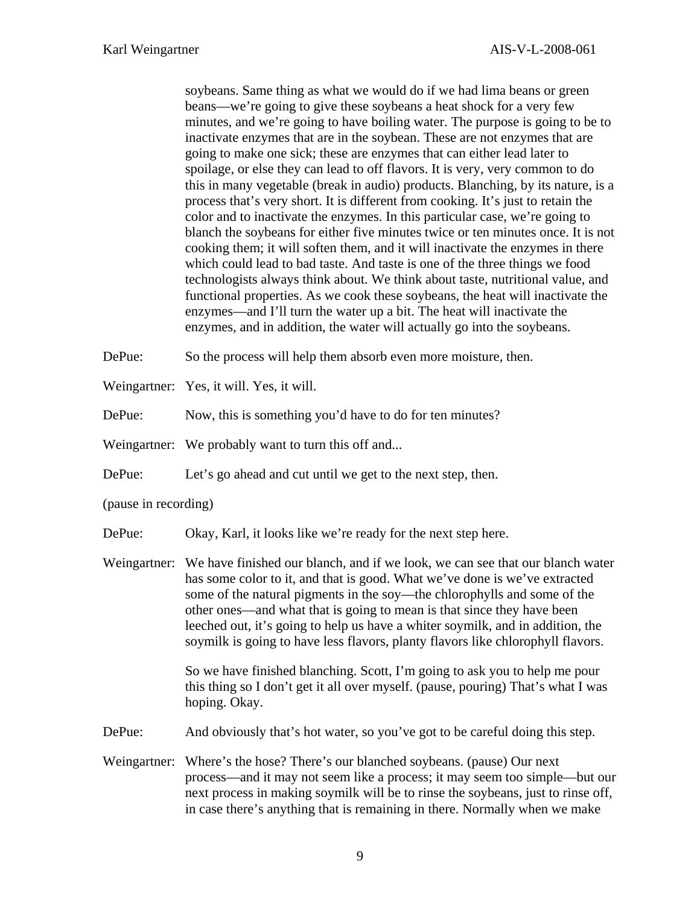soybeans. Same thing as what we would do if we had lima beans or green beans—we're going to give these soybeans a heat shock for a very few minutes, and we're going to have boiling water. The purpose is going to be to inactivate enzymes that are in the soybean. These are not enzymes that are going to make one sick; these are enzymes that can either lead later to spoilage, or else they can lead to off flavors. It is very, very common to do this in many vegetable (break in audio) products. Blanching, by its nature, is a process that's very short. It is different from cooking. It's just to retain the color and to inactivate the enzymes. In this particular case, we're going to blanch the soybeans for either five minutes twice or ten minutes once. It is not cooking them; it will soften them, and it will inactivate the enzymes in there which could lead to bad taste. And taste is one of the three things we food technologists always think about. We think about taste, nutritional value, and functional properties. As we cook these soybeans, the heat will inactivate the enzymes—and I'll turn the water up a bit. The heat will inactivate the enzymes, and in addition, the water will actually go into the soybeans.

DePue: So the process will help them absorb even more moisture, then.

Weingartner: Yes, it will. Yes, it will.

DePue: Now, this is something you'd have to do for ten minutes?

Weingartner: We probably want to turn this off and...

DePue: Let's go ahead and cut until we get to the next step, then.

(pause in recording)

DePue: Okay, Karl, it looks like we're ready for the next step here.

Weingartner: We have finished our blanch, and if we look, we can see that our blanch water has some color to it, and that is good. What we've done is we've extracted some of the natural pigments in the soy—the chlorophylls and some of the other ones—and what that is going to mean is that since they have been leeched out, it's going to help us have a whiter soymilk, and in addition, the soymilk is going to have less flavors, planty flavors like chlorophyll flavors.

> So we have finished blanching. Scott, I'm going to ask you to help me pour this thing so I don't get it all over myself. (pause, pouring) That's what I was hoping. Okay.

DePue: And obviously that's hot water, so you've got to be careful doing this step.

Weingartner: Where's the hose? There's our blanched soybeans. (pause) Our next process—and it may not seem like a process; it may seem too simple—but our next process in making soymilk will be to rinse the soybeans, just to rinse off, in case there's anything that is remaining in there. Normally when we make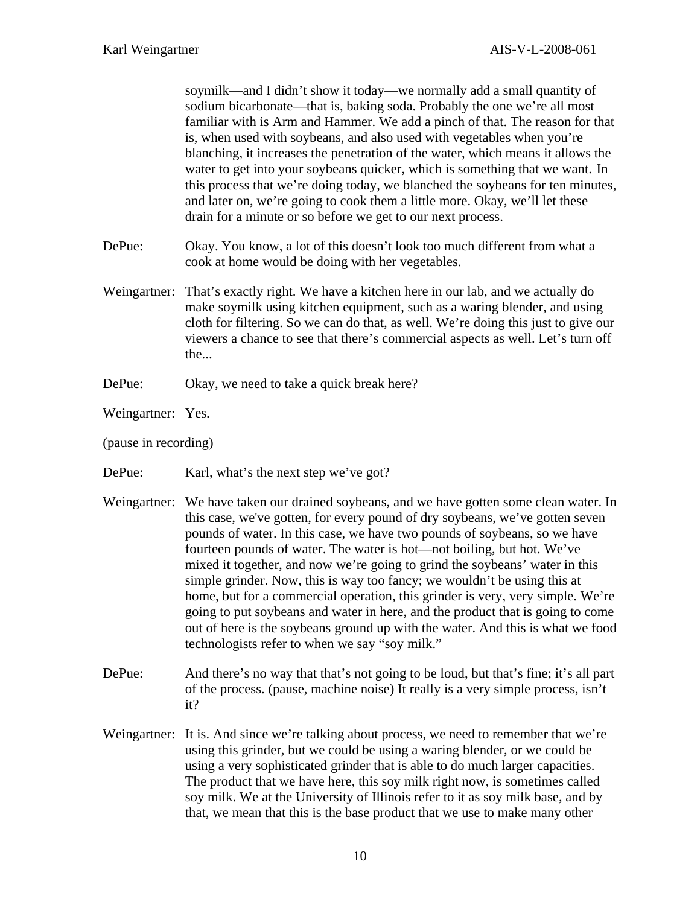soymilk—and I didn't show it today—we normally add a small quantity of sodium bicarbonate—that is, baking soda. Probably the one we're all most familiar with is Arm and Hammer. We add a pinch of that. The reason for that is, when used with soybeans, and also used with vegetables when you're blanching, it increases the penetration of the water, which means it allows the water to get into your soybeans quicker, which is something that we want. In this process that we're doing today, we blanched the soybeans for ten minutes, and later on, we're going to cook them a little more. Okay, we'll let these drain for a minute or so before we get to our next process.

- DePue: Okay. You know, a lot of this doesn't look too much different from what a cook at home would be doing with her vegetables.
- Weingartner: That's exactly right. We have a kitchen here in our lab, and we actually do make soymilk using kitchen equipment, such as a waring blender, and using cloth for filtering. So we can do that, as well. We're doing this just to give our viewers a chance to see that there's commercial aspects as well. Let's turn off the...
- DePue: Okay, we need to take a quick break here?
- Weingartner: Yes.
- (pause in recording)
- DePue: Karl, what's the next step we've got?
- Weingartner: We have taken our drained soybeans, and we have gotten some clean water. In this case, we've gotten, for every pound of dry soybeans, we've gotten seven pounds of water. In this case, we have two pounds of soybeans, so we have fourteen pounds of water. The water is hot—not boiling, but hot. We've mixed it together, and now we're going to grind the soybeans' water in this simple grinder. Now, this is way too fancy; we wouldn't be using this at home, but for a commercial operation, this grinder is very, very simple. We're going to put soybeans and water in here, and the product that is going to come out of here is the soybeans ground up with the water. And this is what we food technologists refer to when we say "soy milk."
- DePue: And there's no way that that's not going to be loud, but that's fine; it's all part of the process. (pause, machine noise) It really is a very simple process, isn't it?
- Weingartner: It is. And since we're talking about process, we need to remember that we're using this grinder, but we could be using a waring blender, or we could be using a very sophisticated grinder that is able to do much larger capacities. The product that we have here, this soy milk right now, is sometimes called soy milk. We at the University of Illinois refer to it as soy milk base, and by that, we mean that this is the base product that we use to make many other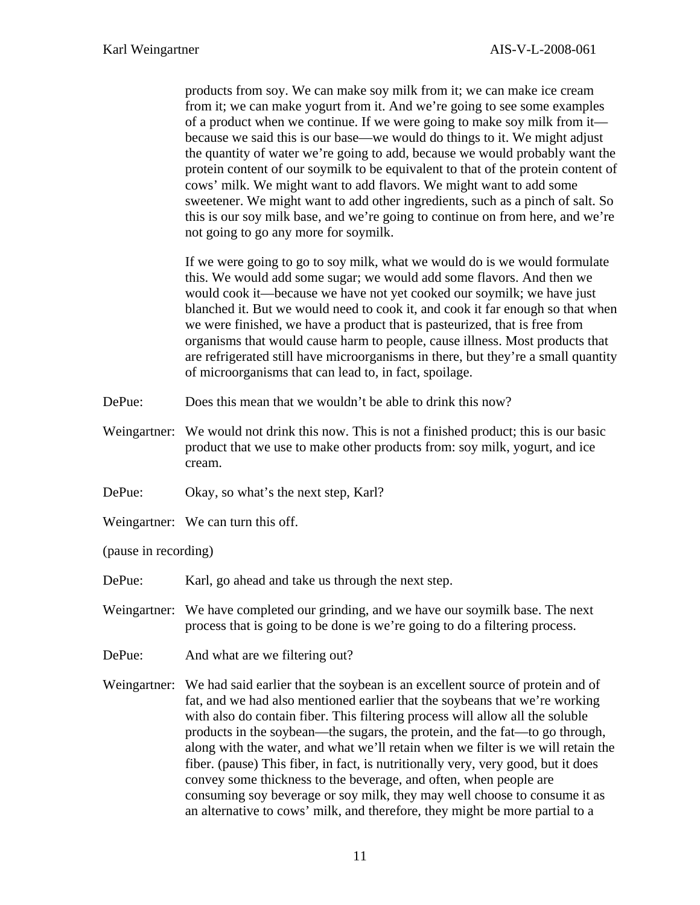products from soy. We can make soy milk from it; we can make ice cream from it; we can make yogurt from it. And we're going to see some examples of a product when we continue. If we were going to make soy milk from it because we said this is our base—we would do things to it. We might adjust the quantity of water we're going to add, because we would probably want the protein content of our soymilk to be equivalent to that of the protein content of cows' milk. We might want to add flavors. We might want to add some sweetener. We might want to add other ingredients, such as a pinch of salt. So this is our soy milk base, and we're going to continue on from here, and we're not going to go any more for soymilk.

If we were going to go to soy milk, what we would do is we would formulate this. We would add some sugar; we would add some flavors. And then we would cook it—because we have not yet cooked our soymilk; we have just blanched it. But we would need to cook it, and cook it far enough so that when we were finished, we have a product that is pasteurized, that is free from organisms that would cause harm to people, cause illness. Most products that are refrigerated still have microorganisms in there, but they're a small quantity of microorganisms that can lead to, in fact, spoilage.

- DePue: Does this mean that we wouldn't be able to drink this now?
- Weingartner: We would not drink this now. This is not a finished product; this is our basic product that we use to make other products from: soy milk, yogurt, and ice cream.
- DePue: Okay, so what's the next step, Karl?
- Weingartner: We can turn this off.

(pause in recording)

- DePue: Karl, go ahead and take us through the next step.
- Weingartner: We have completed our grinding, and we have our soymilk base. The next process that is going to be done is we're going to do a filtering process.
- DePue: And what are we filtering out?
- Weingartner: We had said earlier that the soybean is an excellent source of protein and of fat, and we had also mentioned earlier that the soybeans that we're working with also do contain fiber. This filtering process will allow all the soluble products in the soybean—the sugars, the protein, and the fat—to go through, along with the water, and what we'll retain when we filter is we will retain the fiber. (pause) This fiber, in fact, is nutritionally very, very good, but it does convey some thickness to the beverage, and often, when people are consuming soy beverage or soy milk, they may well choose to consume it as an alternative to cows' milk, and therefore, they might be more partial to a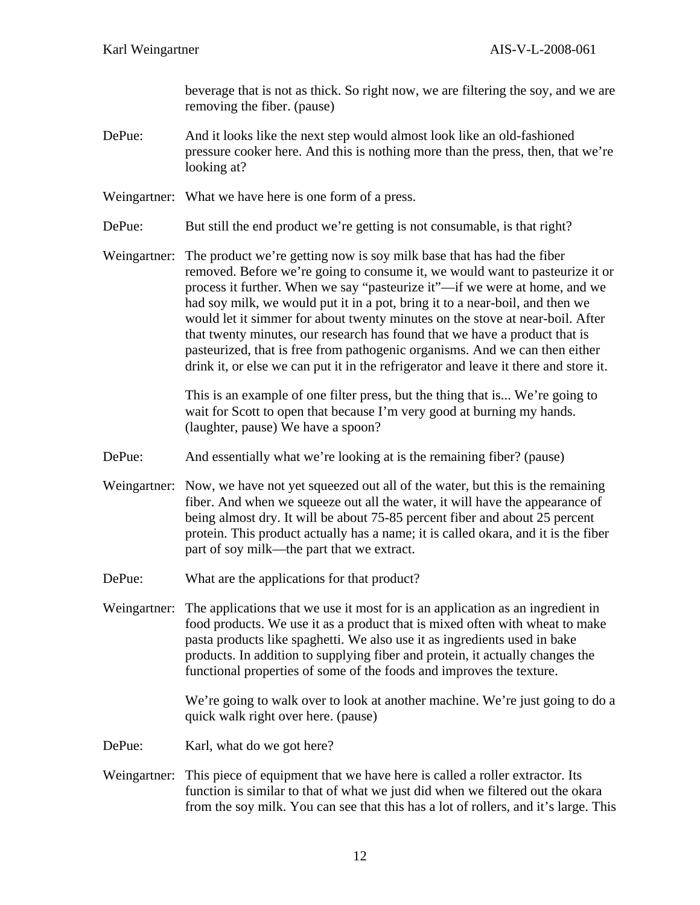beverage that is not as thick. So right now, we are filtering the soy, and we are removing the fiber. (pause)

- DePue: And it looks like the next step would almost look like an old-fashioned pressure cooker here. And this is nothing more than the press, then, that we're looking at?
- Weingartner: What we have here is one form of a press.
- DePue: But still the end product we're getting is not consumable, is that right?
- Weingartner: The product we're getting now is soy milk base that has had the fiber removed. Before we're going to consume it, we would want to pasteurize it or process it further. When we say "pasteurize it"—if we were at home, and we had soy milk, we would put it in a pot, bring it to a near-boil, and then we would let it simmer for about twenty minutes on the stove at near-boil. After that twenty minutes, our research has found that we have a product that is pasteurized, that is free from pathogenic organisms. And we can then either drink it, or else we can put it in the refrigerator and leave it there and store it.

 This is an example of one filter press, but the thing that is... We're going to wait for Scott to open that because I'm very good at burning my hands. (laughter, pause) We have a spoon?

- DePue: And essentially what we're looking at is the remaining fiber? (pause)
- Weingartner: Now, we have not yet squeezed out all of the water, but this is the remaining fiber. And when we squeeze out all the water, it will have the appearance of being almost dry. It will be about 75-85 percent fiber and about 25 percent protein. This product actually has a name; it is called okara, and it is the fiber part of soy milk—the part that we extract.
- DePue: What are the applications for that product?
- Weingartner: The applications that we use it most for is an application as an ingredient in food products. We use it as a product that is mixed often with wheat to make pasta products like spaghetti. We also use it as ingredients used in bake products. In addition to supplying fiber and protein, it actually changes the functional properties of some of the foods and improves the texture.

We're going to walk over to look at another machine. We're just going to do a quick walk right over here. (pause)

- DePue: Karl, what do we got here?
- Weingartner: This piece of equipment that we have here is called a roller extractor. Its function is similar to that of what we just did when we filtered out the okara from the soy milk. You can see that this has a lot of rollers, and it's large. This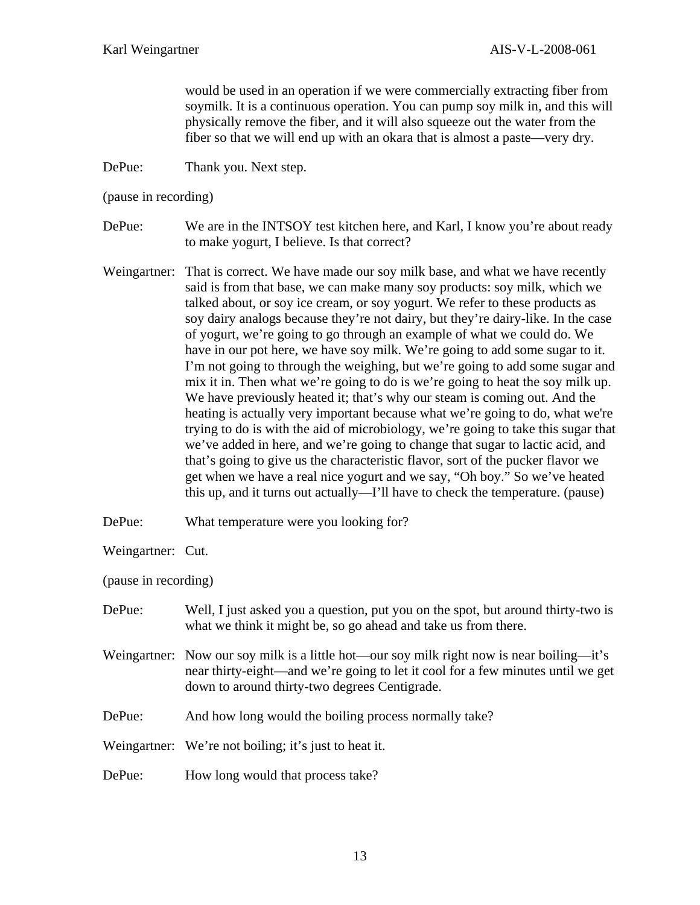would be used in an operation if we were commercially extracting fiber from soymilk. It is a continuous operation. You can pump soy milk in, and this will physically remove the fiber, and it will also squeeze out the water from the fiber so that we will end up with an okara that is almost a paste—very dry.

DePue: Thank you. Next step.

(pause in recording)

DePue: We are in the INTSOY test kitchen here, and Karl, I know you're about ready to make yogurt, I believe. Is that correct?

- Weingartner: That is correct. We have made our soy milk base, and what we have recently said is from that base, we can make many soy products: soy milk, which we talked about, or soy ice cream, or soy yogurt. We refer to these products as soy dairy analogs because they're not dairy, but they're dairy-like. In the case of yogurt, we're going to go through an example of what we could do. We have in our pot here, we have soy milk. We're going to add some sugar to it. I'm not going to through the weighing, but we're going to add some sugar and mix it in. Then what we're going to do is we're going to heat the soy milk up. We have previously heated it; that's why our steam is coming out. And the heating is actually very important because what we're going to do, what we're trying to do is with the aid of microbiology, we're going to take this sugar that we've added in here, and we're going to change that sugar to lactic acid, and that's going to give us the characteristic flavor, sort of the pucker flavor we get when we have a real nice yogurt and we say, "Oh boy." So we've heated this up, and it turns out actually—I'll have to check the temperature. (pause)
- DePue: What temperature were you looking for?
- Weingartner: Cut.

(pause in recording)

- DePue: Well, I just asked you a question, put you on the spot, but around thirty-two is what we think it might be, so go ahead and take us from there.
- Weingartner: Now our soy milk is a little hot—our soy milk right now is near boiling—it's near thirty-eight—and we're going to let it cool for a few minutes until we get down to around thirty-two degrees Centigrade.
- DePue: And how long would the boiling process normally take?

Weingartner: We're not boiling; it's just to heat it.

DePue: How long would that process take?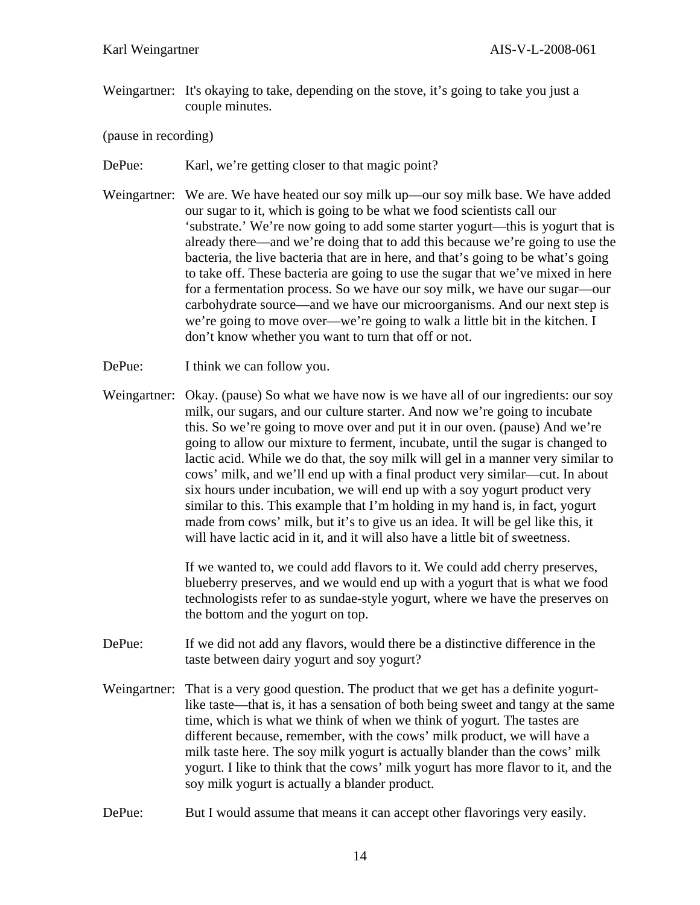Weingartner: It's okaying to take, depending on the stove, it's going to take you just a couple minutes.

(pause in recording)

- DePue: Karl, we're getting closer to that magic point?
- Weingartner: We are. We have heated our soy milk up—our soy milk base. We have added our sugar to it, which is going to be what we food scientists call our 'substrate.' We're now going to add some starter yogurt—this is yogurt that is already there—and we're doing that to add this because we're going to use the bacteria, the live bacteria that are in here, and that's going to be what's going to take off. These bacteria are going to use the sugar that we've mixed in here for a fermentation process. So we have our soy milk, we have our sugar—our carbohydrate source—and we have our microorganisms. And our next step is we're going to move over—we're going to walk a little bit in the kitchen. I don't know whether you want to turn that off or not.
- DePue: I think we can follow you.
- Weingartner: Okay. (pause) So what we have now is we have all of our ingredients: our soy milk, our sugars, and our culture starter. And now we're going to incubate this. So we're going to move over and put it in our oven. (pause) And we're going to allow our mixture to ferment, incubate, until the sugar is changed to lactic acid. While we do that, the soy milk will gel in a manner very similar to cows' milk, and we'll end up with a final product very similar—cut. In about six hours under incubation, we will end up with a soy yogurt product very similar to this. This example that I'm holding in my hand is, in fact, yogurt made from cows' milk, but it's to give us an idea. It will be gel like this, it will have lactic acid in it, and it will also have a little bit of sweetness.

 If we wanted to, we could add flavors to it. We could add cherry preserves, blueberry preserves, and we would end up with a yogurt that is what we food technologists refer to as sundae-style yogurt, where we have the preserves on the bottom and the yogurt on top.

- DePue: If we did not add any flavors, would there be a distinctive difference in the taste between dairy yogurt and soy yogurt?
- Weingartner: That is a very good question. The product that we get has a definite yogurtlike taste—that is, it has a sensation of both being sweet and tangy at the same time, which is what we think of when we think of yogurt. The tastes are different because, remember, with the cows' milk product, we will have a milk taste here. The soy milk yogurt is actually blander than the cows' milk yogurt. I like to think that the cows' milk yogurt has more flavor to it, and the soy milk yogurt is actually a blander product.
- DePue: But I would assume that means it can accept other flavorings very easily.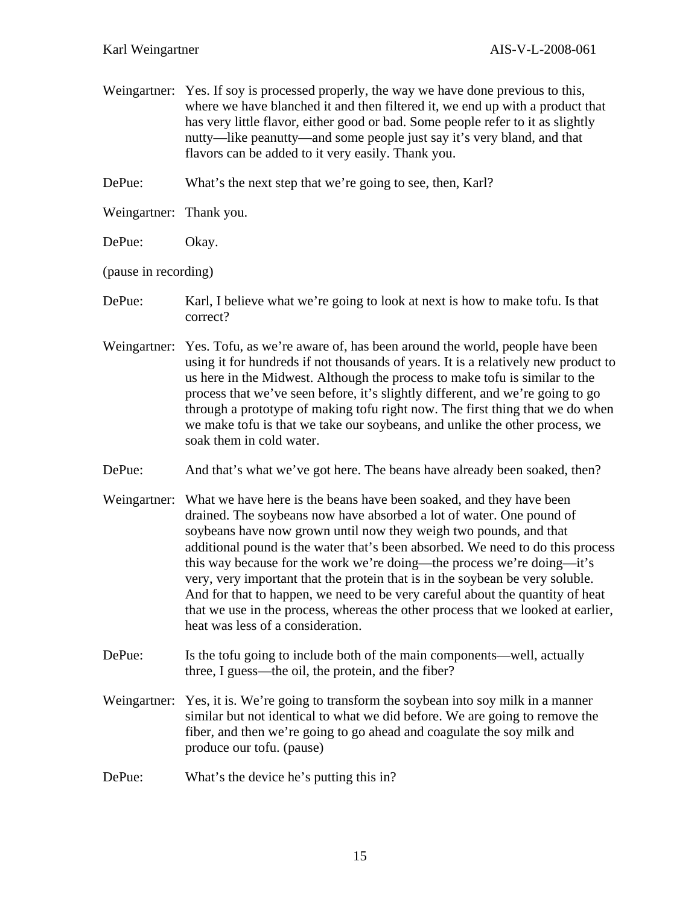Weingartner: Yes. If soy is processed properly, the way we have done previous to this, where we have blanched it and then filtered it, we end up with a product that has very little flavor, either good or bad. Some people refer to it as slightly nutty—like peanutty—and some people just say it's very bland, and that flavors can be added to it very easily. Thank you.

DePue: What's the next step that we're going to see, then, Karl?

Weingartner: Thank you.

DePue: Okay.

(pause in recording)

- DePue: Karl, I believe what we're going to look at next is how to make tofu. Is that correct?
- Weingartner: Yes. Tofu, as we're aware of, has been around the world, people have been using it for hundreds if not thousands of years. It is a relatively new product to us here in the Midwest. Although the process to make tofu is similar to the process that we've seen before, it's slightly different, and we're going to go through a prototype of making tofu right now. The first thing that we do when we make tofu is that we take our soybeans, and unlike the other process, we soak them in cold water.
- DePue: And that's what we've got here. The beans have already been soaked, then?
- Weingartner: What we have here is the beans have been soaked, and they have been drained. The soybeans now have absorbed a lot of water. One pound of soybeans have now grown until now they weigh two pounds, and that additional pound is the water that's been absorbed. We need to do this process this way because for the work we're doing—the process we're doing—it's very, very important that the protein that is in the soybean be very soluble. And for that to happen, we need to be very careful about the quantity of heat that we use in the process, whereas the other process that we looked at earlier, heat was less of a consideration.
- DePue: Is the tofu going to include both of the main components—well, actually three, I guess—the oil, the protein, and the fiber?
- Weingartner: Yes, it is. We're going to transform the soybean into soy milk in a manner similar but not identical to what we did before. We are going to remove the fiber, and then we're going to go ahead and coagulate the soy milk and produce our tofu. (pause)
- DePue: What's the device he's putting this in?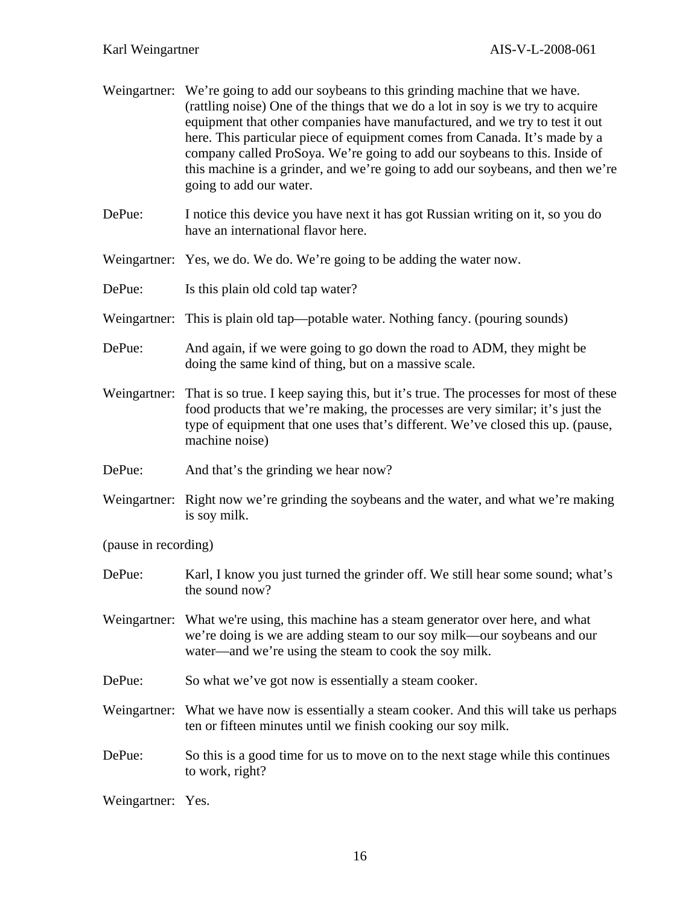| Weingartner:         | We're going to add our soybeans to this grinding machine that we have.<br>(rattling noise) One of the things that we do a lot in soy is we try to acquire<br>equipment that other companies have manufactured, and we try to test it out<br>here. This particular piece of equipment comes from Canada. It's made by a<br>company called ProSoya. We're going to add our soybeans to this. Inside of<br>this machine is a grinder, and we're going to add our soybeans, and then we're<br>going to add our water. |
|----------------------|-------------------------------------------------------------------------------------------------------------------------------------------------------------------------------------------------------------------------------------------------------------------------------------------------------------------------------------------------------------------------------------------------------------------------------------------------------------------------------------------------------------------|
| DePue:               | I notice this device you have next it has got Russian writing on it, so you do<br>have an international flavor here.                                                                                                                                                                                                                                                                                                                                                                                              |
|                      | Weingartner: Yes, we do. We do. We're going to be adding the water now.                                                                                                                                                                                                                                                                                                                                                                                                                                           |
| DePue:               | Is this plain old cold tap water?                                                                                                                                                                                                                                                                                                                                                                                                                                                                                 |
|                      | Weingartner: This is plain old tap—potable water. Nothing fancy. (pouring sounds)                                                                                                                                                                                                                                                                                                                                                                                                                                 |
| DePue:               | And again, if we were going to go down the road to ADM, they might be<br>doing the same kind of thing, but on a massive scale.                                                                                                                                                                                                                                                                                                                                                                                    |
| Weingartner:         | That is so true. I keep saying this, but it's true. The processes for most of these<br>food products that we're making, the processes are very similar; it's just the<br>type of equipment that one uses that's different. We've closed this up. (pause,<br>machine noise)                                                                                                                                                                                                                                        |
| DePue:               | And that's the grinding we hear now?                                                                                                                                                                                                                                                                                                                                                                                                                                                                              |
|                      | Weingartner: Right now we're grinding the soybeans and the water, and what we're making<br>is soy milk.                                                                                                                                                                                                                                                                                                                                                                                                           |
| (pause in recording) |                                                                                                                                                                                                                                                                                                                                                                                                                                                                                                                   |
| DePue:               | Karl, I know you just turned the grinder off. We still hear some sound; what's<br>the sound now?                                                                                                                                                                                                                                                                                                                                                                                                                  |
|                      | Weingartner: What we're using, this machine has a steam generator over here, and what<br>we're doing is we are adding steam to our soy milk—our soybeans and our<br>water—and we're using the steam to cook the soy milk.                                                                                                                                                                                                                                                                                         |
| DePue:               | So what we've got now is essentially a steam cooker.                                                                                                                                                                                                                                                                                                                                                                                                                                                              |
|                      | Weingartner: What we have now is essentially a steam cooker. And this will take us perhaps<br>ten or fifteen minutes until we finish cooking our soy milk.                                                                                                                                                                                                                                                                                                                                                        |
| DePue:               | So this is a good time for us to move on to the next stage while this continues<br>to work, right?                                                                                                                                                                                                                                                                                                                                                                                                                |
| Weingartner: Yes.    |                                                                                                                                                                                                                                                                                                                                                                                                                                                                                                                   |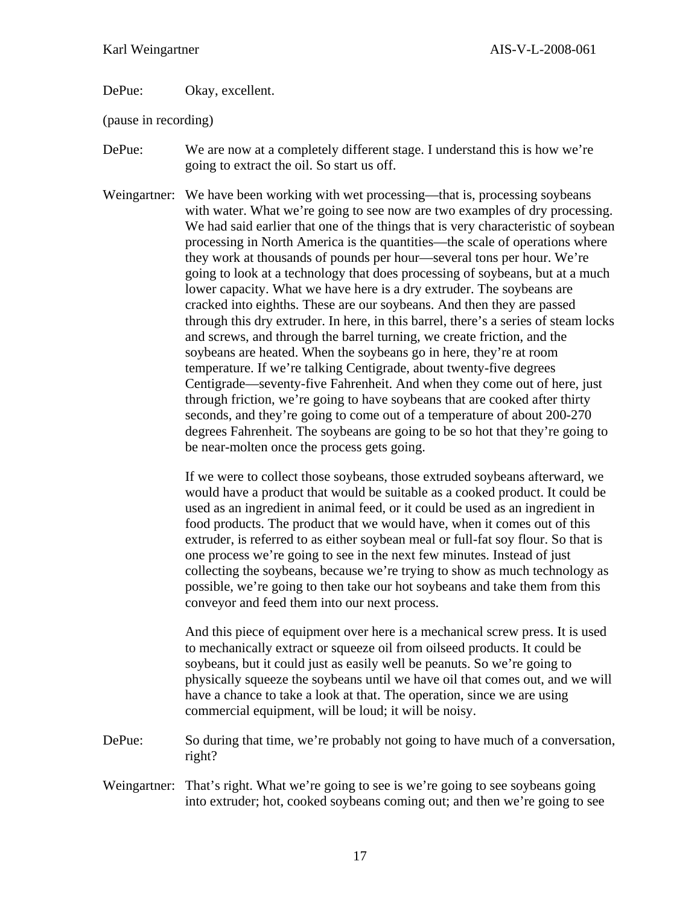DePue: Okay, excellent.

(pause in recording)

DePue: We are now at a completely different stage. I understand this is how we're going to extract the oil. So start us off.

Weingartner: We have been working with wet processing—that is, processing soybeans with water. What we're going to see now are two examples of dry processing. We had said earlier that one of the things that is very characteristic of soybean processing in North America is the quantities—the scale of operations where they work at thousands of pounds per hour—several tons per hour. We're going to look at a technology that does processing of soybeans, but at a much lower capacity. What we have here is a dry extruder. The soybeans are cracked into eighths. These are our soybeans. And then they are passed through this dry extruder. In here, in this barrel, there's a series of steam locks and screws, and through the barrel turning, we create friction, and the soybeans are heated. When the soybeans go in here, they're at room temperature. If we're talking Centigrade, about twenty-five degrees Centigrade—seventy-five Fahrenheit. And when they come out of here, just through friction, we're going to have soybeans that are cooked after thirty seconds, and they're going to come out of a temperature of about 200-270 degrees Fahrenheit. The soybeans are going to be so hot that they're going to be near-molten once the process gets going.

> If we were to collect those soybeans, those extruded soybeans afterward, we would have a product that would be suitable as a cooked product. It could be used as an ingredient in animal feed, or it could be used as an ingredient in food products. The product that we would have, when it comes out of this extruder, is referred to as either soybean meal or full-fat soy flour. So that is one process we're going to see in the next few minutes. Instead of just collecting the soybeans, because we're trying to show as much technology as possible, we're going to then take our hot soybeans and take them from this conveyor and feed them into our next process.

> And this piece of equipment over here is a mechanical screw press. It is used to mechanically extract or squeeze oil from oilseed products. It could be soybeans, but it could just as easily well be peanuts. So we're going to physically squeeze the soybeans until we have oil that comes out, and we will have a chance to take a look at that. The operation, since we are using commercial equipment, will be loud; it will be noisy.

- DePue: So during that time, we're probably not going to have much of a conversation, right?
- Weingartner: That's right. What we're going to see is we're going to see soybeans going into extruder; hot, cooked soybeans coming out; and then we're going to see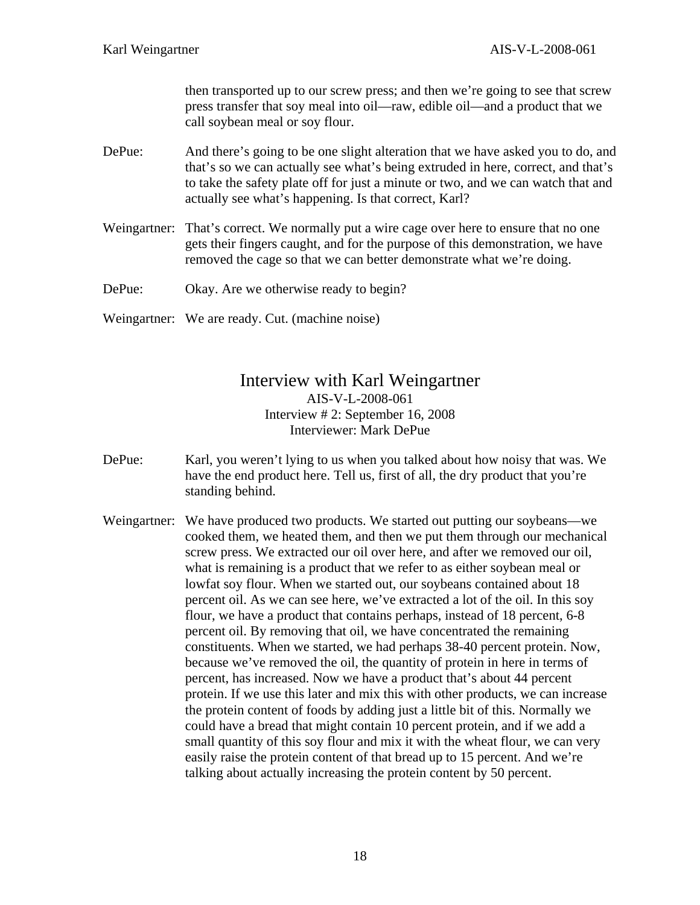then transported up to our screw press; and then we're going to see that screw press transfer that soy meal into oil—raw, edible oil—and a product that we call soybean meal or soy flour.

- DePue: And there's going to be one slight alteration that we have asked you to do, and that's so we can actually see what's being extruded in here, correct, and that's to take the safety plate off for just a minute or two, and we can watch that and actually see what's happening. Is that correct, Karl?
- Weingartner: That's correct. We normally put a wire cage over here to ensure that no one gets their fingers caught, and for the purpose of this demonstration, we have removed the cage so that we can better demonstrate what we're doing.
- DePue: Okay. Are we otherwise ready to begin?
- Weingartner: We are ready. Cut. (machine noise)

## Interview with Karl Weingartner AIS-V-L-2008-061 Interview # 2: September 16, 2008 Interviewer: Mark DePue

- DePue: Karl, you weren't lying to us when you talked about how noisy that was. We have the end product here. Tell us, first of all, the dry product that you're standing behind.
- Weingartner: We have produced two products. We started out putting our soybeans—we cooked them, we heated them, and then we put them through our mechanical screw press. We extracted our oil over here, and after we removed our oil, what is remaining is a product that we refer to as either soybean meal or lowfat soy flour. When we started out, our soybeans contained about 18 percent oil. As we can see here, we've extracted a lot of the oil. In this soy flour, we have a product that contains perhaps, instead of 18 percent, 6-8 percent oil. By removing that oil, we have concentrated the remaining constituents. When we started, we had perhaps 38-40 percent protein. Now, because we've removed the oil, the quantity of protein in here in terms of percent, has increased. Now we have a product that's about 44 percent protein. If we use this later and mix this with other products, we can increase the protein content of foods by adding just a little bit of this. Normally we could have a bread that might contain 10 percent protein, and if we add a small quantity of this soy flour and mix it with the wheat flour, we can very easily raise the protein content of that bread up to 15 percent. And we're talking about actually increasing the protein content by 50 percent.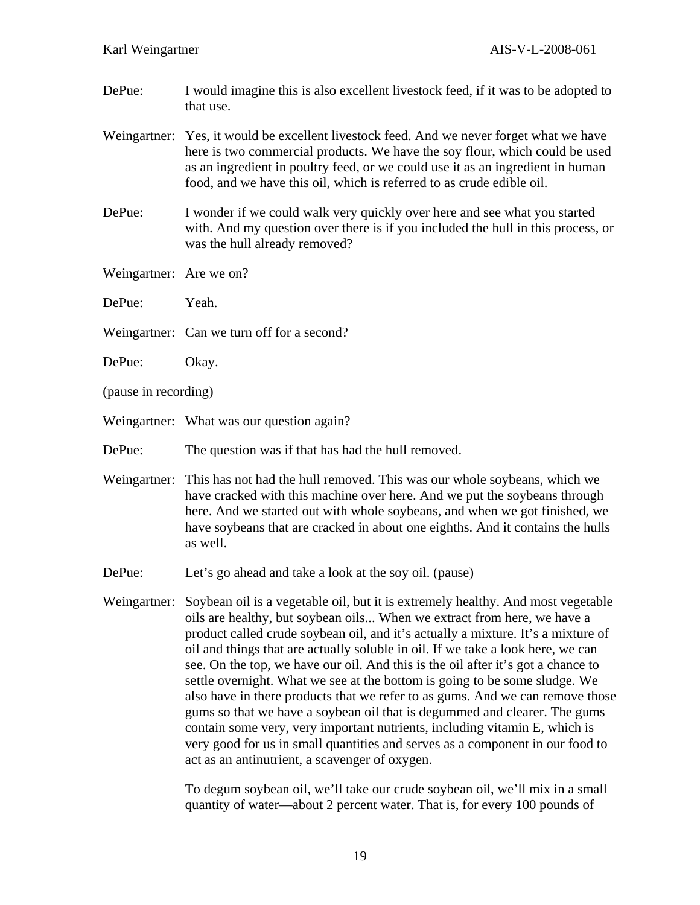- DePue: I would imagine this is also excellent livestock feed, if it was to be adopted to that use.
- Weingartner: Yes, it would be excellent livestock feed. And we never forget what we have here is two commercial products. We have the soy flour, which could be used as an ingredient in poultry feed, or we could use it as an ingredient in human food, and we have this oil, which is referred to as crude edible oil.
- DePue: I wonder if we could walk very quickly over here and see what you started with. And my question over there is if you included the hull in this process, or was the hull already removed?
- Weingartner: Are we on?
- DePue: Yeah.
- Weingartner: Can we turn off for a second?
- DePue: Okay.
- (pause in recording)
- Weingartner: What was our question again?
- DePue: The question was if that has had the hull removed.
- Weingartner: This has not had the hull removed. This was our whole soybeans, which we have cracked with this machine over here. And we put the soybeans through here. And we started out with whole soybeans, and when we got finished, we have soybeans that are cracked in about one eighths. And it contains the hulls as well.
- DePue: Let's go ahead and take a look at the soy oil. (pause)
- Weingartner: Soybean oil is a vegetable oil, but it is extremely healthy. And most vegetable oils are healthy, but soybean oils... When we extract from here, we have a product called crude soybean oil, and it's actually a mixture. It's a mixture of oil and things that are actually soluble in oil. If we take a look here, we can see. On the top, we have our oil. And this is the oil after it's got a chance to settle overnight. What we see at the bottom is going to be some sludge. We also have in there products that we refer to as gums. And we can remove those gums so that we have a soybean oil that is degummed and clearer. The gums contain some very, very important nutrients, including vitamin E, which is very good for us in small quantities and serves as a component in our food to act as an antinutrient, a scavenger of oxygen.

 To degum soybean oil, we'll take our crude soybean oil, we'll mix in a small quantity of water—about 2 percent water. That is, for every 100 pounds of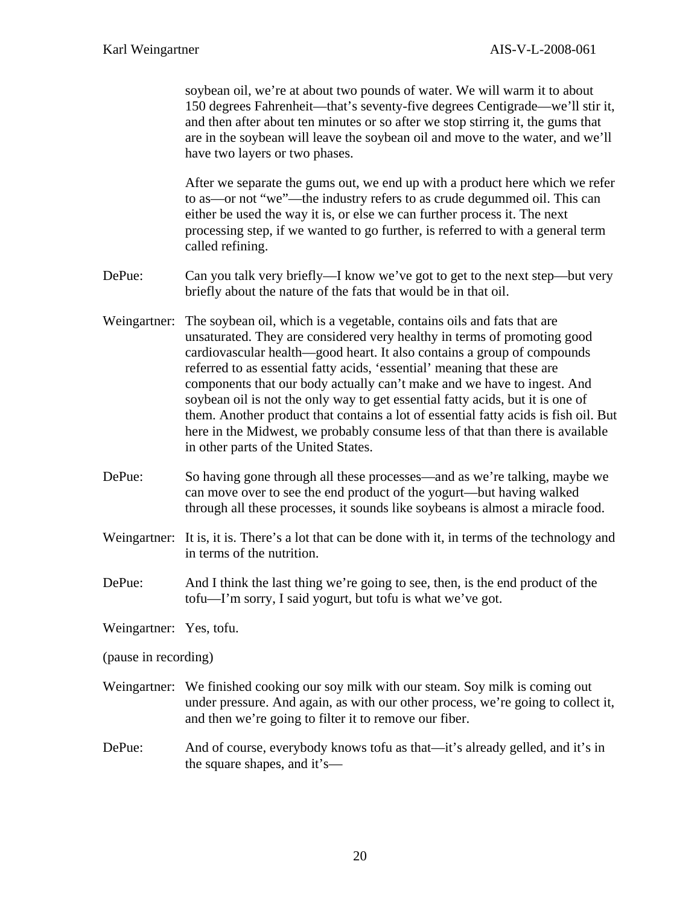soybean oil, we're at about two pounds of water. We will warm it to about 150 degrees Fahrenheit—that's seventy-five degrees Centigrade—we'll stir it, and then after about ten minutes or so after we stop stirring it, the gums that are in the soybean will leave the soybean oil and move to the water, and we'll have two layers or two phases.

 After we separate the gums out, we end up with a product here which we refer to as—or not "we"—the industry refers to as crude degummed oil. This can either be used the way it is, or else we can further process it. The next processing step, if we wanted to go further, is referred to with a general term called refining.

- DePue: Can you talk very briefly—I know we've got to get to the next step—but very briefly about the nature of the fats that would be in that oil.
- Weingartner: The soybean oil, which is a vegetable, contains oils and fats that are unsaturated. They are considered very healthy in terms of promoting good cardiovascular health—good heart. It also contains a group of compounds referred to as essential fatty acids, 'essential' meaning that these are components that our body actually can't make and we have to ingest. And soybean oil is not the only way to get essential fatty acids, but it is one of them. Another product that contains a lot of essential fatty acids is fish oil. But here in the Midwest, we probably consume less of that than there is available in other parts of the United States.
- DePue: So having gone through all these processes—and as we're talking, maybe we can move over to see the end product of the yogurt—but having walked through all these processes, it sounds like soybeans is almost a miracle food.
- Weingartner: It is, it is. There's a lot that can be done with it, in terms of the technology and in terms of the nutrition.
- DePue: And I think the last thing we're going to see, then, is the end product of the tofu—I'm sorry, I said yogurt, but tofu is what we've got.
- Weingartner: Yes, tofu.

(pause in recording)

- Weingartner: We finished cooking our soy milk with our steam. Soy milk is coming out under pressure. And again, as with our other process, we're going to collect it, and then we're going to filter it to remove our fiber.
- DePue: And of course, everybody knows tofu as that—it's already gelled, and it's in the square shapes, and it's—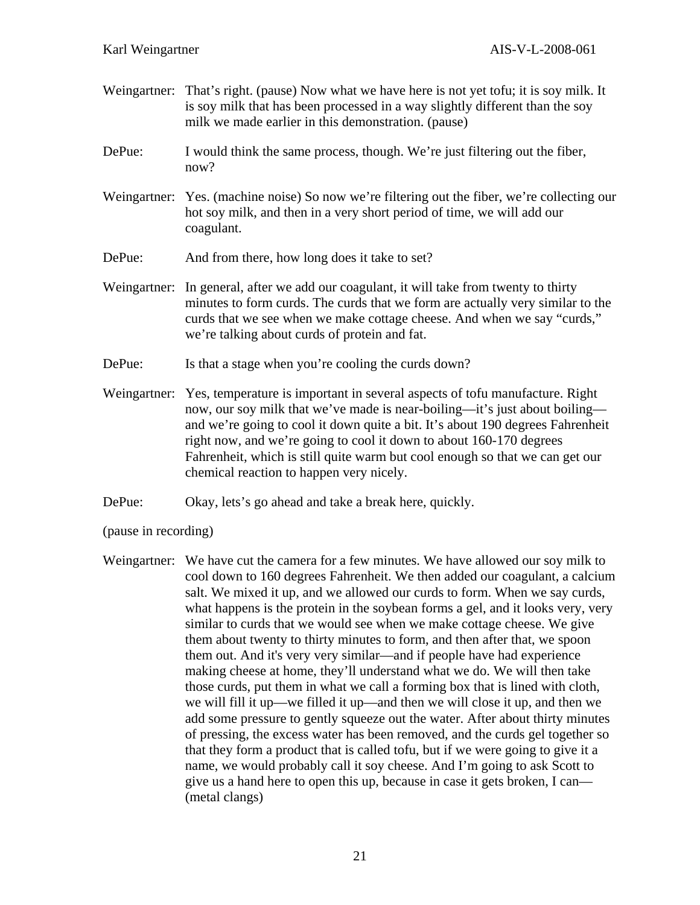- Weingartner: That's right. (pause) Now what we have here is not yet tofu; it is soy milk. It is soy milk that has been processed in a way slightly different than the soy milk we made earlier in this demonstration. (pause)
- DePue: I would think the same process, though. We're just filtering out the fiber, now?
- Weingartner: Yes. (machine noise) So now we're filtering out the fiber, we're collecting our hot soy milk, and then in a very short period of time, we will add our coagulant.
- DePue: And from there, how long does it take to set?
- Weingartner: In general, after we add our coagulant, it will take from twenty to thirty minutes to form curds. The curds that we form are actually very similar to the curds that we see when we make cottage cheese. And when we say "curds," we're talking about curds of protein and fat.
- DePue: Is that a stage when you're cooling the curds down?
- Weingartner: Yes, temperature is important in several aspects of tofu manufacture. Right now, our soy milk that we've made is near-boiling—it's just about boiling and we're going to cool it down quite a bit. It's about 190 degrees Fahrenheit right now, and we're going to cool it down to about 160-170 degrees Fahrenheit, which is still quite warm but cool enough so that we can get our chemical reaction to happen very nicely.
- DePue: Okay, lets's go ahead and take a break here, quickly.

(pause in recording)

Weingartner: We have cut the camera for a few minutes. We have allowed our soy milk to cool down to 160 degrees Fahrenheit. We then added our coagulant, a calcium salt. We mixed it up, and we allowed our curds to form. When we say curds, what happens is the protein in the soybean forms a gel, and it looks very, very similar to curds that we would see when we make cottage cheese. We give them about twenty to thirty minutes to form, and then after that, we spoon them out. And it's very very similar—and if people have had experience making cheese at home, they'll understand what we do. We will then take those curds, put them in what we call a forming box that is lined with cloth, we will fill it up—we filled it up—and then we will close it up, and then we add some pressure to gently squeeze out the water. After about thirty minutes of pressing, the excess water has been removed, and the curds gel together so that they form a product that is called tofu, but if we were going to give it a name, we would probably call it soy cheese. And I'm going to ask Scott to give us a hand here to open this up, because in case it gets broken, I can— (metal clangs)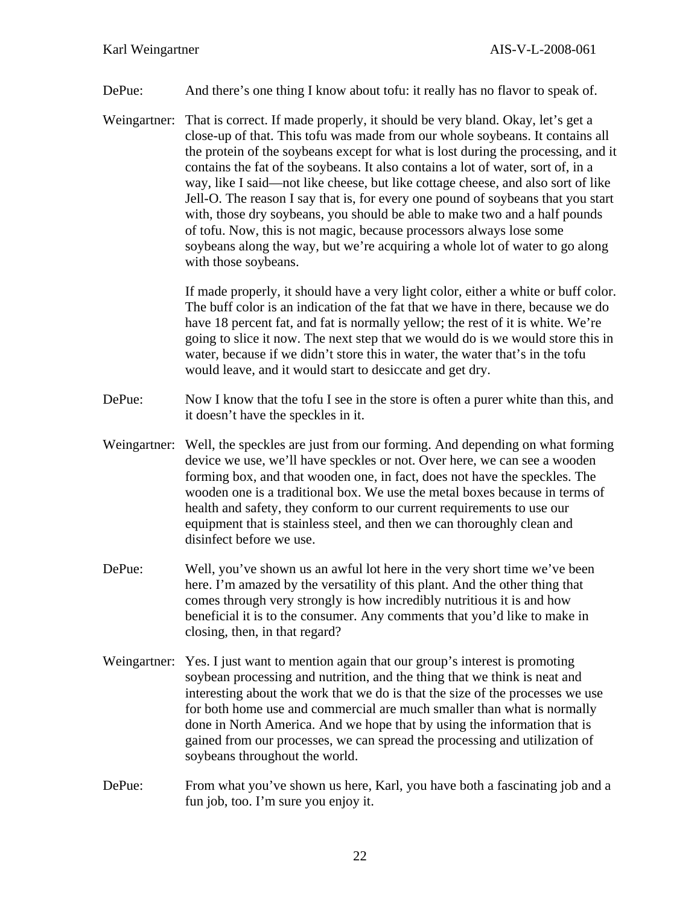## DePue: And there's one thing I know about tofu: it really has no flavor to speak of.

Weingartner: That is correct. If made properly, it should be very bland. Okay, let's get a close-up of that. This tofu was made from our whole soybeans. It contains all the protein of the soybeans except for what is lost during the processing, and it contains the fat of the soybeans. It also contains a lot of water, sort of, in a way, like I said—not like cheese, but like cottage cheese, and also sort of like Jell-O. The reason I say that is, for every one pound of soybeans that you start with, those dry soybeans, you should be able to make two and a half pounds of tofu. Now, this is not magic, because processors always lose some soybeans along the way, but we're acquiring a whole lot of water to go along with those soybeans.

> If made properly, it should have a very light color, either a white or buff color. The buff color is an indication of the fat that we have in there, because we do have 18 percent fat, and fat is normally yellow; the rest of it is white. We're going to slice it now. The next step that we would do is we would store this in water, because if we didn't store this in water, the water that's in the tofu would leave, and it would start to desiccate and get dry.

- DePue: Now I know that the tofu I see in the store is often a purer white than this, and it doesn't have the speckles in it.
- Weingartner: Well, the speckles are just from our forming. And depending on what forming device we use, we'll have speckles or not. Over here, we can see a wooden forming box, and that wooden one, in fact, does not have the speckles. The wooden one is a traditional box. We use the metal boxes because in terms of health and safety, they conform to our current requirements to use our equipment that is stainless steel, and then we can thoroughly clean and disinfect before we use.
- DePue: Well, you've shown us an awful lot here in the very short time we've been here. I'm amazed by the versatility of this plant. And the other thing that comes through very strongly is how incredibly nutritious it is and how beneficial it is to the consumer. Any comments that you'd like to make in closing, then, in that regard?
- Weingartner: Yes. I just want to mention again that our group's interest is promoting soybean processing and nutrition, and the thing that we think is neat and interesting about the work that we do is that the size of the processes we use for both home use and commercial are much smaller than what is normally done in North America. And we hope that by using the information that is gained from our processes, we can spread the processing and utilization of soybeans throughout the world.
- DePue: From what you've shown us here, Karl, you have both a fascinating job and a fun job, too. I'm sure you enjoy it.